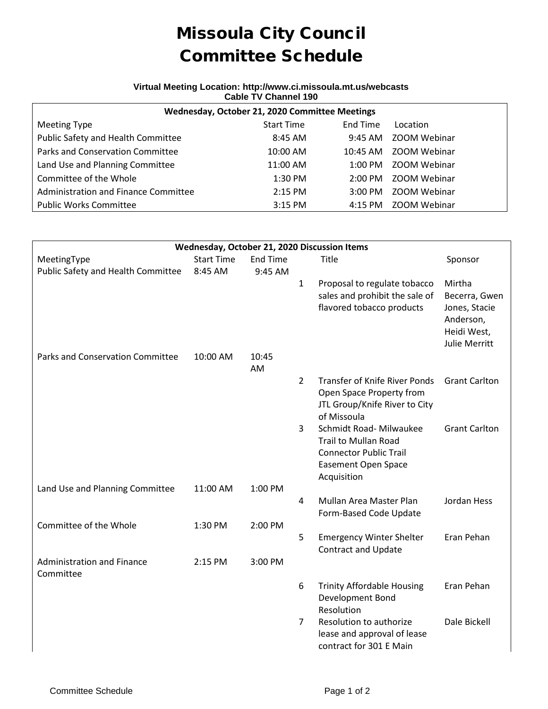## Missoula City Council Committee Schedule

## **Virtual Meeting Location: http://www.ci.missoula.mt.us/webcasts Cable TV Channel 190**

| Wednesday, October 21, 2020 Committee Meetings |                   |                   |                      |  |  |  |  |
|------------------------------------------------|-------------------|-------------------|----------------------|--|--|--|--|
| <b>Meeting Type</b>                            | <b>Start Time</b> | End Time          | Location             |  |  |  |  |
| Public Safety and Health Committee             | $8:45$ AM         | 9:45 AM           | ZOOM Webinar         |  |  |  |  |
| Parks and Conservation Committee               | $10:00$ AM        | 10:45 AM          | ZOOM Webinar         |  |  |  |  |
| Land Use and Planning Committee                | 11:00 AM          |                   | 1:00 PM ZOOM Webinar |  |  |  |  |
| Committee of the Whole                         | 1:30 PM           | $2:00 \text{ PM}$ | ZOOM Webinar         |  |  |  |  |
| Administration and Finance Committee           | $2:15$ PM         | $3:00 \text{ PM}$ | ZOOM Webinar         |  |  |  |  |
| <b>Public Works Committee</b>                  | $3:15$ PM         |                   | 4:15 PM ZOOM Webinar |  |  |  |  |

| Wednesday, October 21, 2020 Discussion Items   |                   |                 |                |                                                                                                           |                                                                   |  |  |  |  |
|------------------------------------------------|-------------------|-----------------|----------------|-----------------------------------------------------------------------------------------------------------|-------------------------------------------------------------------|--|--|--|--|
| MeetingType                                    | <b>Start Time</b> | <b>End Time</b> |                | Title                                                                                                     | Sponsor                                                           |  |  |  |  |
| Public Safety and Health Committee             | 8:45 AM           | 9:45 AM         |                |                                                                                                           |                                                                   |  |  |  |  |
|                                                |                   |                 | $\mathbf{1}$   | Proposal to regulate tobacco                                                                              | Mirtha                                                            |  |  |  |  |
|                                                |                   |                 |                | sales and prohibit the sale of                                                                            | Becerra, Gwen                                                     |  |  |  |  |
|                                                |                   |                 |                | flavored tobacco products                                                                                 | Jones, Stacie<br>Anderson,<br>Heidi West,<br><b>Julie Merritt</b> |  |  |  |  |
| Parks and Conservation Committee               | 10:00 AM          | 10:45           |                |                                                                                                           |                                                                   |  |  |  |  |
|                                                |                   | AM              |                |                                                                                                           |                                                                   |  |  |  |  |
|                                                |                   |                 | $\overline{2}$ | <b>Transfer of Knife River Ponds</b><br>Open Space Property from<br>JTL Group/Knife River to City         | <b>Grant Carlton</b>                                              |  |  |  |  |
|                                                |                   |                 |                | of Missoula                                                                                               |                                                                   |  |  |  |  |
|                                                |                   |                 | 3              | Schmidt Road- Milwaukee                                                                                   | <b>Grant Carlton</b>                                              |  |  |  |  |
|                                                |                   |                 |                | <b>Trail to Mullan Road</b><br><b>Connector Public Trail</b><br><b>Easement Open Space</b><br>Acquisition |                                                                   |  |  |  |  |
| Land Use and Planning Committee                | 11:00 AM          | 1:00 PM         |                |                                                                                                           |                                                                   |  |  |  |  |
|                                                |                   |                 | 4              | Mullan Area Master Plan<br>Form-Based Code Update                                                         | Jordan Hess                                                       |  |  |  |  |
| Committee of the Whole                         | 1:30 PM           | 2:00 PM         |                |                                                                                                           |                                                                   |  |  |  |  |
|                                                |                   |                 | 5              | <b>Emergency Winter Shelter</b><br><b>Contract and Update</b>                                             | Eran Pehan                                                        |  |  |  |  |
| <b>Administration and Finance</b><br>Committee | 2:15 PM           | 3:00 PM         |                |                                                                                                           |                                                                   |  |  |  |  |
|                                                |                   |                 | 6              | <b>Trinity Affordable Housing</b><br>Development Bond<br>Resolution                                       | Eran Pehan                                                        |  |  |  |  |
|                                                |                   |                 | $\overline{7}$ | Resolution to authorize<br>lease and approval of lease<br>contract for 301 E Main                         | Dale Bickell                                                      |  |  |  |  |